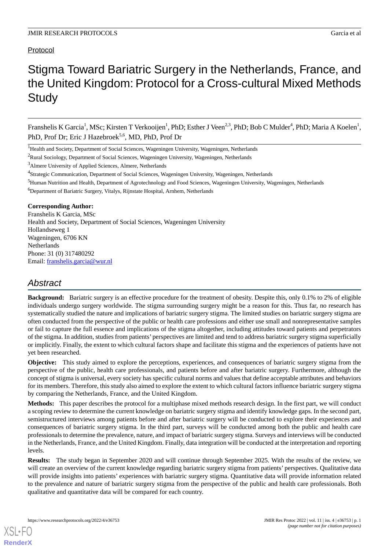# Protocol

# Stigma Toward Bariatric Surgery in the Netherlands, France, and the United Kingdom: Protocol for a Cross-cultural Mixed Methods **Study**

Franshelis K Garcia<sup>1</sup>, MSc; Kirsten T Verkooijen<sup>1</sup>, PhD; Esther J Veen<sup>2,3</sup>, PhD; Bob C Mulder<sup>4</sup>, PhD; Maria A Koelen<sup>1</sup>, PhD, Prof Dr; Eric J Hazebroek<sup>5,6</sup>, MD, PhD, Prof Dr

## **Corresponding Author:**

Franshelis K Garcia, MSc Health and Society, Department of Social Sciences, Wageningen University Hollandseweg 1 Wageningen, 6706 KN Netherlands Phone: 31 (0) 317480292 Email: [franshelis.garcia@wur.nl](mailto:franshelis.garcia@wur.nl)

# *Abstract*

**Background:** Bariatric surgery is an effective procedure for the treatment of obesity. Despite this, only 0.1% to 2% of eligible individuals undergo surgery worldwide. The stigma surrounding surgery might be a reason for this. Thus far, no research has systematically studied the nature and implications of bariatric surgery stigma. The limited studies on bariatric surgery stigma are often conducted from the perspective of the public or health care professions and either use small and nonrepresentative samples or fail to capture the full essence and implications of the stigma altogether, including attitudes toward patients and perpetrators of the stigma. In addition, studies from patients' perspectives are limited and tend to address bariatric surgery stigma superficially or implicitly. Finally, the extent to which cultural factors shape and facilitate this stigma and the experiences of patients have not yet been researched.

**Objective:** This study aimed to explore the perceptions, experiences, and consequences of bariatric surgery stigma from the perspective of the public, health care professionals, and patients before and after bariatric surgery. Furthermore, although the concept of stigma is universal, every society has specific cultural norms and values that define acceptable attributes and behaviors for its members. Therefore, this study also aimed to explore the extent to which cultural factors influence bariatric surgery stigma by comparing the Netherlands, France, and the United Kingdom.

**Methods:** This paper describes the protocol for a multiphase mixed methods research design. In the first part, we will conduct a scoping review to determine the current knowledge on bariatric surgery stigma and identify knowledge gaps. In the second part, semistructured interviews among patients before and after bariatric surgery will be conducted to explore their experiences and consequences of bariatric surgery stigma. In the third part, surveys will be conducted among both the public and health care professionals to determine the prevalence, nature, and impact of bariatric surgery stigma. Surveys and interviews will be conducted in the Netherlands, France, and the United Kingdom. Finally, data integration will be conducted at the interpretation and reporting levels.

**Results:** The study began in September 2020 and will continue through September 2025. With the results of the review, we will create an overview of the current knowledge regarding bariatric surgery stigma from patients' perspectives. Qualitative data will provide insights into patients' experiences with bariatric surgery stigma. Quantitative data will provide information related to the prevalence and nature of bariatric surgery stigma from the perspective of the public and health care professionals. Both qualitative and quantitative data will be compared for each country.

<sup>&</sup>lt;sup>1</sup>Health and Society, Department of Social Sciences, Wageningen University, Wageningen, Netherlands

<sup>&</sup>lt;sup>2</sup>Rural Sociology, Department of Social Sciences, Wageningen University, Wageningen, Netherlands

<sup>3</sup>Almere University of Applied Sciences, Almere, Netherlands

<sup>&</sup>lt;sup>4</sup>Strategic Communication, Department of Social Sciences, Wageningen University, Wageningen, Netherlands

<sup>&</sup>lt;sup>5</sup>Human Nutrition and Health, Department of Agrotechnology and Food Sciences, Wageningen University, Wageningen, Netherlands

<sup>6</sup>Department of Bariatric Surgery, Vitalys, Rijnstate Hospital, Arnhem, Netherlands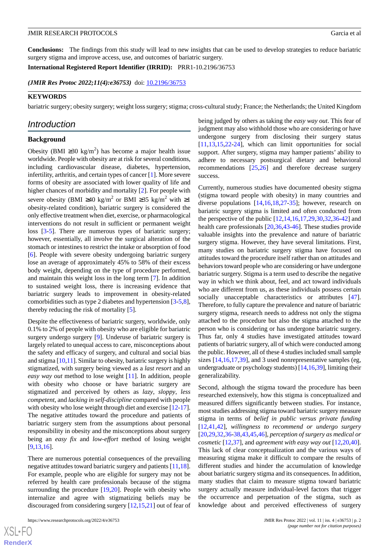**Conclusions:** The findings from this study will lead to new insights that can be used to develop strategies to reduce bariatric surgery stigma and improve access, use, and outcomes of bariatric surgery.

**International Registered Report Identifier (IRRID):** PRR1-10.2196/36753

(JMIR Res Protoc 2022;11(4):e36753) doi: [10.2196/36753](http://dx.doi.org/10.2196/36753)

#### **KEYWORDS**

bariatric surgery; obesity surgery; weight loss surgery; stigma; cross-cultural study; France; the Netherlands; the United Kingdom

## *Introduction*

## **Background**

Obesity (BMI ≥30 kg/m<sup>2</sup>) has become a major health issue worldwide. People with obesity are at risk for several conditions, including cardiovascular disease, diabetes, hypertension, infertility, arthritis, and certain types of cancer [\[1](#page-8-0)]. More severe forms of obesity are associated with lower quality of life and higher chances of morbidity and mortality [[2\]](#page-9-0). For people with severe obesity (BMI ≥40 kg/m<sup>2</sup> or BMI ≥35 kg/m<sup>2</sup> with ≥1 obesity-related condition), bariatric surgery is considered the only effective treatment when diet, exercise, or pharmacological interventions do not result in sufficient or permanent weight loss [\[3-](#page-9-1)[5\]](#page-9-2). There are numerous types of bariatric surgery; however, essentially, all involve the surgical alteration of the stomach or intestines to restrict the intake or absorption of food [[6\]](#page-9-3). People with severe obesity undergoing bariatric surgery lose an average of approximately 45% to 58% of their excess body weight, depending on the type of procedure performed, and maintain this weight loss in the long term [\[7](#page-9-4)]. In addition to sustained weight loss, there is increasing evidence that bariatric surgery leads to improvement in obesity-related comorbidities such as type 2 diabetes and hypertension [[3](#page-9-1)[-5](#page-9-2),[8\]](#page-9-5), thereby reducing the risk of mortality [\[5](#page-9-2)].

Despite the effectiveness of bariatric surgery, worldwide, only 0.1% to 2% of people with obesity who are eligible for bariatric surgery undergo surgery [[9\]](#page-9-6). Underuse of bariatric surgery is largely related to unequal access to care, misconceptions about the safety and efficacy of surgery, and cultural and social bias and stigma  $[10,11]$  $[10,11]$  $[10,11]$ . Similar to obesity, bariatric surgery is highly stigmatized, with surgery being viewed as a *last resort* and an *easy way out* method to lose weight [[11\]](#page-9-8). In addition, people with obesity who choose or have bariatric surgery are stigmatized and perceived by others as *lazy*, *sloppy*, *less competent*, and *lacking in self-discipline* compared with people with obesity who lose weight through diet and exercise [[12-](#page-9-9)[17\]](#page-9-10). The negative attitudes toward the procedure and patients of bariatric surgery stem from the assumptions about personal responsibility in obesity and the misconceptions about surgery being an *easy fix* and *low-effort* method of losing weight [[9](#page-9-6)[,13](#page-9-11),[16\]](#page-9-12).

There are numerous potential consequences of the prevailing negative attitudes toward bariatric surgery and patients [\[11](#page-9-8),[18\]](#page-9-13). For example, people who are eligible for surgery may not be referred by health care professionals because of the stigma surrounding the procedure [\[19](#page-9-14),[20\]](#page-9-15). People with obesity who internalize and agree with stigmatizing beliefs may be discouraged from considering surgery [\[12](#page-9-9),[15,](#page-9-16)[21](#page-9-17)] out of fear of

https://www.researchprotocols.org/2022/4/e36753 JMIR Res Protoc 2022 | vol. 11 | iss. 4 | e36753 | p. 2

 $XS$  • FO **[RenderX](http://www.renderx.com/)**

being judged by others as taking the *easy way out*. This fear of judgment may also withhold those who are considering or have undergone surgery from disclosing their surgery status [[11,](#page-9-8)[13,](#page-9-11)[15](#page-9-16)[,22](#page-9-18)-[24\]](#page-9-19), which can limit opportunities for social support. After surgery, stigma may hamper patients' ability to adhere to necessary postsurgical dietary and behavioral recommendations [[25](#page-9-20)[,26](#page-10-0)] and therefore decrease surgery success.

Currently, numerous studies have documented obesity stigma (stigma toward people with obesity) in many countries and diverse populations [[14](#page-9-21)[,16](#page-9-12),[18](#page-9-13)[,27](#page-10-1)-[35\]](#page-10-2); however, research on bariatric surgery stigma is limited and often conducted from the perspective of the public [[12](#page-9-9)[,14](#page-9-21),[16](#page-9-12)[,17](#page-9-10),[29](#page-10-3)[,30](#page-10-4),[32](#page-10-5)[,36](#page-10-6)-[42\]](#page-10-7) and health care professionals [[20,](#page-9-15)[36](#page-10-6),[43-](#page-10-8)[46](#page-10-9)]. These studies provide valuable insights into the prevalence and nature of bariatric surgery stigma. However, they have several limitations. First, many studies on bariatric surgery stigma have focused on attitudes toward the procedure itself rather than on attitudes and behaviors toward people who are considering or have undergone bariatric surgery. Stigma is a term used to describe the negative way in which we think about, feel, and act toward individuals who are different from us, as these individuals possess certain socially unacceptable characteristics or attributes [[47\]](#page-10-10). Therefore, to fully capture the prevalence and nature of bariatric surgery stigma, research needs to address not only the stigma attached to the procedure but also the stigma attached to the person who is considering or has undergone bariatric surgery. Thus far, only 4 studies have investigated attitudes toward patients of bariatric surgery, all of which were conducted among the public. However, all of these 4 studies included small sample sizes [[14](#page-9-21)[,16](#page-9-12),[17](#page-9-10)[,39](#page-10-11)], and 3 used nonrepresentative samples (eg, undergraduate or psychology students) [[14,](#page-9-21)[16](#page-9-12)[,39](#page-10-11)], limiting their generalizability.

Second, although the stigma toward the procedure has been researched extensively, how this stigma is conceptualized and measured differs significantly between studies. For instance, most studies addressing stigma toward bariatric surgery measure stigma in terms of *belief in public versus private funding* [[12,](#page-9-9)[41,](#page-10-12)[42\]](#page-10-7), *willingness to recommend or undergo surgery* [[20,](#page-9-15)[29,](#page-10-3)[32](#page-10-5)[,36](#page-10-6)-[38](#page-10-13)[,43](#page-10-8),[45](#page-10-14)[,46](#page-10-9)], *perception of surgery as medical or cosmetic* [\[12](#page-9-9),[37\]](#page-10-15), and *agreement with easy way out* [[12](#page-9-9)[,20](#page-9-15),[40\]](#page-10-16). This lack of clear conceptualization and the various ways of measuring stigma make it difficult to compare the results of different studies and hinder the accumulation of knowledge about bariatric surgery stigma and its consequences. In addition, many studies that claim to measure stigma toward bariatric surgery actually measure individual-level factors that trigger the occurrence and perpetuation of the stigma, such as knowledge about and perceived effectiveness of surgery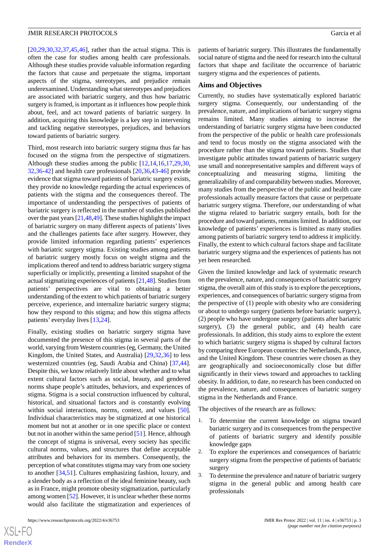[[20](#page-9-15)[,29](#page-10-3),[30](#page-10-4)[,32](#page-10-5),[37](#page-10-15)[,45](#page-10-14),[46\]](#page-10-9), rather than the actual stigma. This is often the case for studies among health care professionals. Although these studies provide valuable information regarding the factors that cause and perpetuate the stigma, important aspects of the stigma, stereotypes, and prejudice remain underexamined. Understanding what stereotypes and prejudices are associated with bariatric surgery, and thus how bariatric surgery is framed, is important as it influences how people think about, feel, and act toward patients of bariatric surgery. In addition, acquiring this knowledge is a key step in intervening and tackling negative stereotypes, prejudices, and behaviors toward patients of bariatric surgery.

Third, most research into bariatric surgery stigma thus far has focused on the stigma from the perspective of stigmatizers. Although these studies among the public [[12,](#page-9-9)[14](#page-9-21),[16,](#page-9-12)[17](#page-9-10),[29,](#page-10-3)[30](#page-10-4), [32](#page-10-5)[,36](#page-10-6)[-42](#page-10-7)] and health care professionals [[20](#page-9-15)[,36](#page-10-6),[43](#page-10-8)[-46](#page-10-9)] provide evidence that stigma toward patients of bariatric surgery exists, they provide no knowledge regarding the actual experiences of patients with the stigma and the consequences thereof. The importance of understanding the perspectives of patients of bariatric surgery is reflected in the number of studies published over the past years [\[21](#page-9-17),[48](#page-10-17),[49\]](#page-10-18). These studies highlight the impact of bariatric surgery on many different aspects of patients' lives and the challenges patients face after surgery. However, they provide limited information regarding patients' experiences with bariatric surgery stigma. Existing studies among patients of bariatric surgery mostly focus on weight stigma and the implications thereof and tend to address bariatric surgery stigma superficially or implicitly, presenting a limited snapshot of the actual stigmatizing experiences of patients [\[21](#page-9-17)[,48](#page-10-17)]. Studies from patients' perspectives are vital to obtaining a better understanding of the extent to which patients of bariatric surgery perceive, experience, and internalize bariatric surgery stigma; how they respond to this stigma; and how this stigma affects patients' everyday lives [[13](#page-9-11)[,24](#page-9-19)].

Finally, existing studies on bariatric surgery stigma have documented the presence of this stigma in several parts of the world, varying from Western countries (eg, Germany, the United Kingdom, the United States, and Australia) [\[29](#page-10-3),[32,](#page-10-5)[36\]](#page-10-6) to less westernized countries (eg, Saudi Arabia and China) [\[37](#page-10-15),[44\]](#page-10-19). Despite this, we know relatively little about whether and to what extent cultural factors such as social, beauty, and gendered norms shape people's attitudes, behaviors, and experiences of stigma. Stigma is a social construction influenced by cultural, historical, and situational factors and is constantly evolving within social interactions, norms, context, and values [[50\]](#page-11-0). Individual characteristics may be stigmatized at one historical moment but not at another or in one specific place or context but not in another within the same period [[51\]](#page-11-1). Hence, although the concept of stigma is universal, every society has specific cultural norms, values, and structures that define acceptable attributes and behaviors for its members. Consequently, the perception of what constitutes stigma may vary from one society to another [[34,](#page-10-20)[51](#page-11-1)]. Cultures emphasizing fashion, luxury, and a slender body as a reflection of the ideal feminine beauty, such as in France, might promote obesity stigmatization, particularly among women [[52\]](#page-11-2). However, it is unclear whether these norms would also facilitate the stigmatization and experiences of patients of bariatric surgery. This illustrates the fundamentally social nature of stigma and the need for research into the cultural factors that shape and facilitate the occurrence of bariatric surgery stigma and the experiences of patients.

#### **Aims and Objectives**

Currently, no studies have systematically explored bariatric surgery stigma. Consequently, our understanding of the prevalence, nature, and implications of bariatric surgery stigma remains limited. Many studies aiming to increase the understanding of bariatric surgery stigma have been conducted from the perspective of the public or health care professionals and tend to focus mostly on the stigma associated with the procedure rather than the stigma toward patients. Studies that investigate public attitudes toward patients of bariatric surgery use small and nonrepresentative samples and different ways of conceptualizing and measuring stigma, limiting the generalizability of and comparability between studies. Moreover, many studies from the perspective of the public and health care professionals actually measure factors that cause or perpetuate bariatric surgery stigma. Therefore, our understanding of what the stigma related to bariatric surgery entails, both for the procedure and toward patients, remains limited. In addition, our knowledge of patients' experiences is limited as many studies among patients of bariatric surgery tend to address it implicitly. Finally, the extent to which cultural factors shape and facilitate bariatric surgery stigma and the experiences of patients has not yet been researched.

Given the limited knowledge and lack of systematic research on the prevalence, nature, and consequences of bariatric surgery stigma, the overall aim of this study is to explore the perceptions, experiences, and consequences of bariatric surgery stigma from the perspective of (1) people with obesity who are considering or about to undergo surgery (patients before bariatric surgery), (2) people who have undergone surgery (patients after bariatric surgery), (3) the general public, and (4) health care professionals. In addition, this study aims to explore the extent to which bariatric surgery stigma is shaped by cultural factors by comparing three European countries: the Netherlands, France, and the United Kingdom. These countries were chosen as they are geographically and socioeconomically close but differ significantly in their views toward and approaches to tackling obesity. In addition, to date, no research has been conducted on the prevalence, nature, and consequences of bariatric surgery stigma in the Netherlands and France.

The objectives of the research are as follows:

- 1. To determine the current knowledge on stigma toward bariatric surgery and its consequences from the perspective of patients of bariatric surgery and identify possible knowledge gaps
- 2. To explore the experiences and consequences of bariatric surgery stigma from the perspective of patients of bariatric surgery
- 3. To determine the prevalence and nature of bariatric surgery stigma in the general public and among health care professionals

 $XSI - F($ **[RenderX](http://www.renderx.com/)**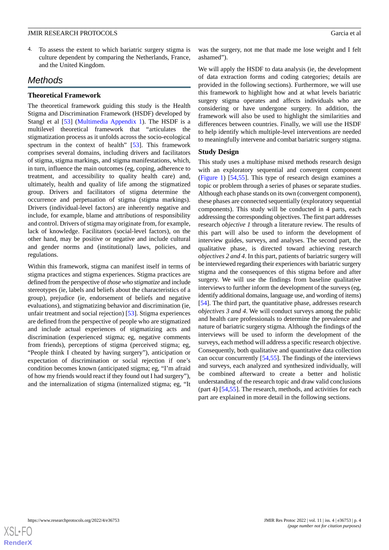4. To assess the extent to which bariatric surgery stigma is culture dependent by comparing the Netherlands, France, and the United Kingdom.

# *Methods*

## **Theoretical Framework**

The theoretical framework guiding this study is the Health Stigma and Discrimination Framework (HSDF) developed by Stangl et al [[53\]](#page-11-3) [\(Multimedia Appendix 1\)](#page-8-1). The HSDF is a multilevel theoretical framework that "articulates the stigmatization process as it unfolds across the socio-ecological spectrum in the context of health" [\[53](#page-11-3)]. This framework comprises several domains, including drivers and facilitators of stigma, stigma markings, and stigma manifestations, which, in turn, influence the main outcomes (eg, coping, adherence to treatment, and accessibility to quality health care) and, ultimately, health and quality of life among the stigmatized group. Drivers and facilitators of stigma determine the occurrence and perpetuation of stigma (stigma markings). Drivers (individual-level factors) are inherently negative and include, for example, blame and attributions of responsibility and control. Drivers of stigma may originate from, for example, lack of knowledge. Facilitators (social-level factors), on the other hand, may be positive or negative and include cultural and gender norms and (institutional) laws, policies, and regulations.

Within this framework, stigma can manifest itself in terms of stigma practices and stigma experiences. Stigma practices are defined from the perspective of *those who stigmatize* and include stereotypes (ie, labels and beliefs about the characteristics of a group), prejudice (ie, endorsement of beliefs and negative evaluations), and stigmatizing behavior and discrimination (ie, unfair treatment and social rejection) [[53\]](#page-11-3). Stigma experiences are defined from the perspective of people who are stigmatized and include actual experiences of stigmatizing acts and discrimination (experienced stigma; eg, negative comments from friends), perceptions of stigma (perceived stigma; eg, "People think I cheated by having surgery"), anticipation or expectation of discrimination or social rejection if one's condition becomes known (anticipated stigma; eg, "I'm afraid of how my friends would react if they found out I had surgery"), and the internalization of stigma (internalized stigma; eg, "It

was the surgery, not me that made me lose weight and I felt ashamed").

We will apply the HSDF to data analysis (ie, the development of data extraction forms and coding categories; details are provided in the following sections). Furthermore, we will use this framework to highlight how and at what levels bariatric surgery stigma operates and affects individuals who are considering or have undergone surgery. In addition, the framework will also be used to highlight the similarities and differences between countries. Finally, we will use the HSDF to help identify which multiple-level interventions are needed to meaningfully intervene and combat bariatric surgery stigma.

#### **Study Design**

This study uses a multiphase mixed methods research design with an exploratory sequential and convergent component ([Figure 1\)](#page-4-0) [\[54](#page-11-4),[55\]](#page-11-5). This type of research design examines a topic or problem through a series of phases or separate studies. Although each phase stands on its own (convergent component), these phases are connected sequentially (exploratory sequential components). This study will be conducted in 4 parts, each addressing the corresponding objectives. The first part addresses research *objective 1* through a literature review. The results of this part will also be used to inform the development of interview guides, surveys, and analyses. The second part, the qualitative phase, is directed toward achieving research *objectives 2 and 4*. In this part, patients of bariatric surgery will be interviewed regarding their experiences with bariatric surgery stigma and the consequences of this stigma before and after surgery. We will use the findings from baseline qualitative interviews to further inform the development of the surveys (eg, identify additional domains, language use, and wording of items) [[54\]](#page-11-4). The third part, the quantitative phase, addresses research *objectives 3 and 4*. We will conduct surveys among the public and health care professionals to determine the prevalence and nature of bariatric surgery stigma. Although the findings of the interviews will be used to inform the development of the surveys, each method will address a specific research objective. Consequently, both qualitative and quantitative data collection can occur concurrently [\[54](#page-11-4),[55\]](#page-11-5). The findings of the interviews and surveys, each analyzed and synthesized individually, will be combined afterward to create a better and holistic understanding of the research topic and draw valid conclusions (part 4) [\[54](#page-11-4),[55\]](#page-11-5). The research, methods, and activities for each part are explained in more detail in the following sections.

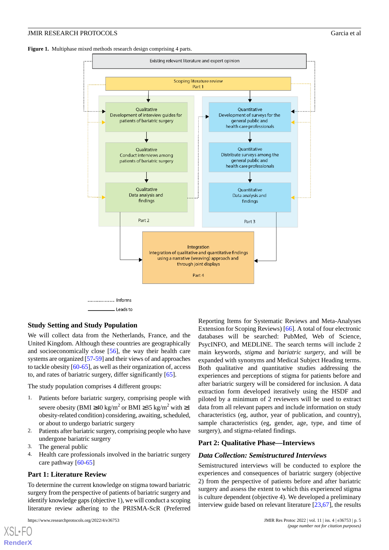<span id="page-4-0"></span>



\_ Leads to

#### **Study Setting and Study Population**

We will collect data from the Netherlands, France, and the United Kingdom. Although these countries are geographically and socioeconomically close [[56\]](#page-11-6), the way their health care systems are organized [[57-](#page-11-7)[59\]](#page-11-8) and their views of and approaches to tackle obesity [[60-](#page-11-9)[65\]](#page-11-10), as well as their organization of, access to, and rates of bariatric surgery, differ significantly [\[65](#page-11-10)].

The study population comprises 4 different groups:

- 1. Patients before bariatric surgery, comprising people with severe obesity (BMI ≥40 kg/m<sup>2</sup> or BMI ≥35 kg/m<sup>2</sup> with ≥1 obesity-related condition) considering, awaiting, scheduled, or about to undergo bariatric surgery
- 2. Patients after bariatric surgery, comprising people who have undergone bariatric surgery
- 3. The general public
- 4. Health care professionals involved in the bariatric surgery care pathway [\[60](#page-11-9)-[65\]](#page-11-10)

#### **Part 1: Literature Review**

To determine the current knowledge on stigma toward bariatric surgery from the perspective of patients of bariatric surgery and identify knowledge gaps (objective 1), we will conduct a scoping literature review adhering to the PRISMA-ScR (Preferred

Reporting Items for Systematic Reviews and Meta-Analyses Extension for Scoping Reviews) [\[66](#page-11-11)]. A total of four electronic databases will be searched: PubMed, Web of Science, PsycINFO, and MEDLINE. The search terms will include 2 main keywords, *stigma* and *bariatric surgery*, and will be expanded with synonyms and Medical Subject Heading terms. Both qualitative and quantitative studies addressing the experiences and perceptions of stigma for patients before and after bariatric surgery will be considered for inclusion. A data extraction form developed iteratively using the HSDF and piloted by a minimum of 2 reviewers will be used to extract data from all relevant papers and include information on study characteristics (eg, author, year of publication, and country), sample characteristics (eg, gender, age, type, and time of surgery), and stigma-related findings.

#### **Part 2: Qualitative Phase—Interviews**

#### *Data Collection: Semistructured Interviews*

Semistructured interviews will be conducted to explore the experiences and consequences of bariatric surgery (objective 2) from the perspective of patients before and after bariatric surgery and assess the extent to which this experienced stigma is culture dependent (objective 4). We developed a preliminary interview guide based on relevant literature [\[23](#page-9-22),[67\]](#page-11-12), the results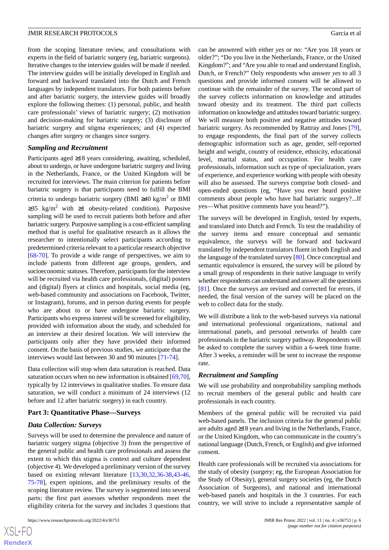from the scoping literature review, and consultations with experts in the field of bariatric surgery (eg, bariatric surgeons). Iterative changes to the interview guides will be made if needed. The interview guides will be initially developed in English and forward and backward translated into the Dutch and French languages by independent translators. For both patients before and after bariatric surgery, the interview guides will broadly explore the following themes: (1) personal, public, and health care professionals' views of bariatric surgery; (2) motivation and decision-making for bariatric surgery; (3) disclosure of bariatric surgery and stigma experiences; and (4) expected changes after surgery or changes since surgery.

#### *Sampling and Recruitment*

Participants aged ≥18 years considering, awaiting, scheduled, about to undergo, or have undergone bariatric surgery and living in the Netherlands, France, or the United Kingdom will be recruited for interviews. The main criterion for patients before bariatric surgery is that participants need to fulfill the BMI criteria to undergo bariatric surgery (BMI ≥40 kg/m<sup>2</sup> or BMI  $≥35$  kg/m<sup>2</sup> with  $≥1$  obesity-related condition). Purposive sampling will be used to recruit patients both before and after bariatric surgery. Purposive sampling is a cost-efficient sampling method that is useful for qualitative research as it allows the researcher to intentionally select participants according to predetermined criteria relevant to a particular research objective [[68](#page-11-13)[-70](#page-11-14)]. To provide a wide range of perspectives, we aim to include patients from different age groups, genders, and socioeconomic statuses. Therefore, participants for the interview will be recruited via health care professionals, (digital) posters and (digital) flyers at clinics and hospitals, social media (eg, web-based community and associations on Facebook, Twitter, or Instagram), forums, and in person during events for people who are about to or have undergone bariatric surgery. Participants who express interest will be screened for eligibility, provided with information about the study, and scheduled for an interview at their desired location. We will interview the participants only after they have provided their informed consent. On the basis of previous studies, we anticipate that the interviews would last between 30 and 90 minutes [[71-](#page-11-15)[74\]](#page-11-16).

Data collection will stop when data saturation is reached. Data saturation occurs when no new information is obtained [\[69](#page-11-17),[70\]](#page-11-14), typically by 12 interviews in qualitative studies. To ensure data saturation, we will conduct a minimum of 24 interviews (12 before and 12 after bariatric surgery) in each country.

### **Part 3: Quantitative Phase—Surveys**

## *Data Collection: Surveys*

Surveys will be used to determine the prevalence and nature of bariatric surgery stigma (objective 3) from the perspective of the general public and health care professionals and assess the extent to which this stigma is context and culture dependent (objective 4). We developed a preliminary version of the survey based on existing relevant literature [\[13](#page-9-11),[30,](#page-10-4)[32,](#page-10-5)[36](#page-10-6)[-38](#page-10-13),[43-](#page-10-8)[46](#page-10-9), [75](#page-12-0)-[78\]](#page-12-1), expert opinions, and the preliminary results of the scoping literature review. The survey is segmented into several parts: the first part assesses whether respondents meet the eligibility criteria for the survey and includes 3 questions that

can be answered with either *yes* or *no*: "Are you 18 years or older?"; "Do you live in the Netherlands, France, or the United Kingdom?"; and "Are you able to read and understand English, Dutch, or French?" Only respondents who answer *yes* to all 3 questions and provide informed consent will be allowed to continue with the remainder of the survey. The second part of the survey collects information on knowledge and attitudes toward obesity and its treatment. The third part collects information on knowledge and attitudes toward bariatric surgery. We will measure both positive and negative attitudes toward bariatric surgery. As recommended by Rattray and Jones [[79\]](#page-12-2), to engage respondents, the final part of the survey collects demographic information such as age, gender, self-reported height and weight, country of residence, ethnicity, educational level, marital status, and occupation. For health care professionals, information such as type of specialization, years of experience, and experience working with people with obesity will also be assessed. The surveys comprise both closed- and open-ended questions (eg, "Have you ever heard positive comments about people who have had bariatric surgery?...If yes—What positive comments have you heard?").

The surveys will be developed in English, tested by experts, and translated into Dutch and French. To test the readability of the survey items and ensure conceptual and semantic equivalence, the surveys will be forward and backward translated by independent translators fluent in both English and the language of the translated survey [\[80](#page-12-3)]. Once conceptual and semantic equivalence is ensured, the survey will be piloted by a small group of respondents in their native language to verify whether respondents can understand and answer all the questions [[81\]](#page-12-4). Once the surveys are revised and corrected for errors, if needed, the final version of the survey will be placed on the web to collect data for the study.

We will distribute a link to the web-based surveys via national and international professional organizations, national and international panels, and personal networks of health care professionals in the bariatric surgery pathway. Respondents will be asked to complete the survey within a 6-week time frame. After 3 weeks, a reminder will be sent to increase the response rate.

#### *Recruitment and Sampling*

We will use probability and nonprobability sampling methods to recruit members of the general public and health care professionals in each country.

Members of the general public will be recruited via paid web-based panels. The inclusion criteria for the general public are adults aged ≥18 years and living in the Netherlands, France, or the United Kingdom, who can communicate in the country's national language (Dutch, French, or English) and give informed consent.

Health care professionals will be recruited via associations for the study of obesity (surgery; eg, the European Association for the Study of Obesity), general surgery societies (eg, the Dutch Association of Surgeons), and national and international web-based panels and hospitals in the 3 countries. For each country, we will strive to include a representative sample of

```
XS\cdotFC
RenderX
```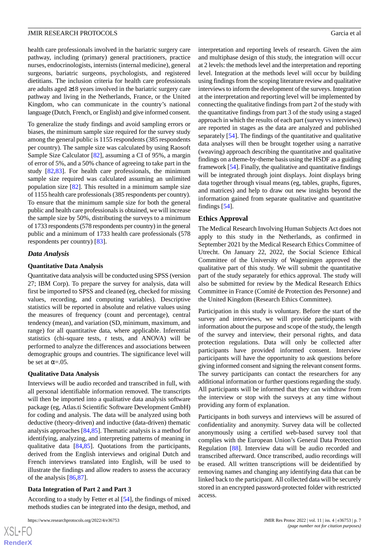health care professionals involved in the bariatric surgery care pathway, including (primary) general practitioners, practice nurses, endocrinologists, internists (internal medicine), general surgeons, bariatric surgeons, psychologists, and registered dietitians. The inclusion criteria for health care professionals are adults aged ≥18 years involved in the bariatric surgery care pathway and living in the Netherlands, France, or the United Kingdom, who can communicate in the country's national language (Dutch, French, or English) and give informed consent.

To generalize the study findings and avoid sampling errors or biases, the minimum sample size required for the survey study among the general public is 1155 respondents (385 respondents per country). The sample size was calculated by using Raosoft Sample Size Calculator [[82\]](#page-12-5), assuming a CI of 95%, a margin of error of 5%, and a 50% chance of agreeing to take part in the study [\[82](#page-12-5),[83\]](#page-12-6). For health care professionals, the minimum sample size required was calculated assuming an unlimited population size [\[82](#page-12-5)]. This resulted in a minimum sample size of 1155 health care professionals (385 respondents per country). To ensure that the minimum sample size for both the general public and health care professionals is obtained, we will increase the sample size by 50%, distributing the surveys to a minimum of 1733 respondents (578 respondents per country) in the general public and a minimum of 1733 health care professionals (578 respondents per country) [[83\]](#page-12-6).

#### *Data Analysis*

#### **Quantitative Data Analysis**

Quantitative data analysis will be conducted using SPSS (version 27; IBM Corp). To prepare the survey for analysis, data will first be imported to SPSS and cleaned (eg, checked for missing values, recording, and computing variables). Descriptive statistics will be reported in absolute and relative values using the measures of frequency (count and percentage), central tendency (mean), and variation (SD, minimum, maximum, and range) for all quantitative data, where applicable. Inferential statistics (chi-square tests, *t* tests, and ANOVA) will be performed to analyze the differences and associations between demographic groups and countries. The significance level will be set at  $\alpha = .05$ .

#### **Qualitative Data Analysis**

Interviews will be audio recorded and transcribed in full, with all personal identifiable information removed. The transcripts will then be imported into a qualitative data analysis software package (eg, Atlas.ti Scientific Software Development GmbH) for coding and analysis. The data will be analyzed using both deductive (theory-driven) and inductive (data-driven) thematic analysis approaches [\[84](#page-12-7),[85\]](#page-12-8). Thematic analysis is a method for identifying, analyzing, and interpreting patterns of meaning in qualitative data [[84](#page-12-7)[,85](#page-12-8)]. Quotations from the participants, derived from the English interviews and original Dutch and French interviews translated into English, will be used to illustrate the findings and allow readers to assess the accuracy of the analysis [\[86](#page-12-9),[87\]](#page-12-10).

#### **Data Integration of Part 2 and Part 3**

According to a study by Fetter et al [\[54](#page-11-4)], the findings of mixed methods studies can be integrated into the design, method, and

 $XS$  • FC **[RenderX](http://www.renderx.com/)** interpretation and reporting levels of research. Given the aim and multiphase design of this study, the integration will occur at 2 levels: the methods level and the interpretation and reporting level. Integration at the methods level will occur by building using findings from the scoping literature review and qualitative interviews to inform the development of the surveys. Integration at the interpretation and reporting level will be implemented by connecting the qualitative findings from part 2 of the study with the quantitative findings from part 3 of the study using a staged approach in which the results of each part (survey vs interviews) are reported in stages as the data are analyzed and published separately [[54\]](#page-11-4). The findings of the quantitative and qualitative data analyses will then be brought together using a narrative (weaving) approach describing the quantitative and qualitative findings on a theme-by-theme basis using the HSDF as a guiding framework [[54](#page-11-4)]. Finally, the qualitative and quantitative findings will be integrated through joint displays. Joint displays bring data together through visual means (eg, tables, graphs, figures, and matrices) and help to draw out new insights beyond the information gained from separate qualitative and quantitative findings [\[54](#page-11-4)].

#### **Ethics Approval**

The Medical Research Involving Human Subjects Act does not apply to this study in the Netherlands, as confirmed in September 2021 by the Medical Research Ethics Committee of Utrecht. On January 22, 2022, the Social Science Ethical Committee of the University of Wageningen approved the qualitative part of this study. We will submit the quantitative part of the study separately for ethics approval. The study will also be submitted for review by the Medical Research Ethics Committee in France (Comité de Protection des Personne) and the United Kingdom (Research Ethics Committee).

Participation in this study is voluntary. Before the start of the survey and interviews, we will provide participants with information about the purpose and scope of the study, the length of the survey and interview, their personal rights, and data protection regulations. Data will only be collected after participants have provided informed consent. Interview participants will have the opportunity to ask questions before giving informed consent and signing the relevant consent forms. The survey participants can contact the researchers for any additional information or further questions regarding the study. All participants will be informed that they can withdraw from the interview or stop with the surveys at any time without providing any form of explanation.

Participants in both surveys and interviews will be assured of confidentiality and anonymity. Survey data will be collected anonymously using a certified web-based survey tool that complies with the European Union's General Data Protection Regulation [\[88](#page-12-11)]. Interview data will be audio recorded and transcribed afterward. Once transcribed, audio recordings will be erased. All written transcriptions will be deidentified by removing names and changing any identifying data that can be linked back to the participant. All collected data will be securely stored in an encrypted password-protected folder with restricted access.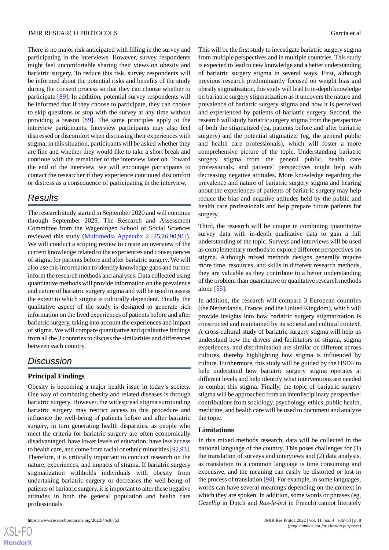There is no major risk anticipated with filling in the survey and participating in the interviews. However, survey respondents might feel uncomfortable sharing their views on obesity and bariatric surgery. To reduce this risk, survey respondents will be informed about the potential risks and benefits of the study during the consent process so that they can choose whether to participate [[89\]](#page-12-12). In addition, potential survey respondents will be informed that if they choose to participate, they can choose to skip questions or stop with the survey at any time without providing a reason [\[89](#page-12-12)]. The same principles apply to the interview participants. Interview participants may also feel distressed or discomfort when discussing their experiences with stigma; in this situation, participants will be asked whether they are fine and whether they would like to take a short break and continue with the remainder of the interview later on. Toward the end of the interview, we will encourage participants to contact the researcher if they experience continued discomfort or distress as a consequence of participating in the interview.

# *Results*

The research study started in September 2020 and will continue through September 2025. The Research and Assessment Committee from the Wageningen School of Social Sciences reviewed this study [\(Multimedia Appendix 2](#page-8-2) [[25,](#page-9-20)[26,](#page-10-0)[90](#page-12-13)[,91](#page-12-14)]). We will conduct a scoping review to create an overview of the current knowledge related to the experiences and consequences of stigma for patients before and after bariatric surgery. We will also use this information to identify knowledge gaps and further inform the research methods and analyses. Data collected using quantitative methods will provide information on the prevalence and nature of bariatric surgery stigma and will be used to assess the extent to which stigma is culturally dependent. Finally, the qualitative aspect of the study is designed to generate rich information on the lived experiences of patients before and after bariatric surgery, taking into account the experiences and impact of stigma. We will compare quantitative and qualitative findings from all the 3 countries to discuss the similarities and differences between each country.

# *Discussion*

## **Principal Findings**

Obesity is becoming a major health issue in today's society. One way of combating obesity and related diseases is through bariatric surgery. However, the widespread stigma surrounding bariatric surgery may restrict access to this procedure and influence the well-being of patients before and after bariatric surgery, in turn generating health disparities, as people who meet the criteria for bariatric surgery are often economically disadvantaged, have lower levels of education, have less access to health care, and come from racial or ethnic minorities [[92,](#page-12-15)[93\]](#page-12-16). Therefore, it is critically important to conduct research on the nature, experiences, and impacts of stigma. If bariatric surgery stigmatization withholds individuals with obesity from undertaking bariatric surgery or decreases the well-being of patients of bariatric surgery, it is important to alter these negative attitudes in both the general population and health care professionals.

 $XS$  $\cdot$ FC **[RenderX](http://www.renderx.com/)** This will be the first study to investigate bariatric surgery stigma from multiple perspectives and in multiple countries. This study is expected to lead to new knowledge and a better understanding of bariatric surgery stigma in several ways. First, although previous research predominantly focused on weight bias and obesity stigmatization, this study will lead to in-depth knowledge on bariatric surgery stigmatization as it uncovers the nature and prevalence of bariatric surgery stigma and how it is perceived and experienced by patients of bariatric surgery. Second, the research will study bariatric surgery stigma from the perspective of both the stigmatized (eg, patients before and after bariatric surgery) and the potential stigmatizer (eg, the general public and health care professionals), which will foster a more comprehensive picture of the topic. Understanding bariatric surgery stigma from the general public, health care professionals, and patients' perspectives might help with decreasing negative attitudes. More knowledge regarding the prevalence and nature of bariatric surgery stigma and hearing about the experiences of patients of bariatric surgery may help reduce the bias and negative attitudes held by the public and health care professionals and help prepare future patients for surgery.

Third, the research will be unique in combining quantitative survey data with in-depth qualitative data to gain a full understanding of the topic. Surveys and interviews will be used as complementary methods to explore different perspectives on stigma. Although mixed methods designs generally require more time, resources, and skills in different research methods, they are valuable as they contribute to a better understanding of the problem than quantitative or qualitative research methods alone [\[55](#page-11-5)].

In addition, the research will compare 3 European countries (the Netherlands, France, and the United Kingdom), which will provide insights into how bariatric surgery stigmatization is constructed and maintained by its societal and cultural context. A cross-cultural study of bariatric surgery stigma will help us understand how the drivers and facilitators of stigma, stigma experiences, and discrimination are similar or different across cultures, thereby highlighting how stigma is influenced by culture. Furthermore, this study will be guided by the HSDF to help understand how bariatric surgery stigma operates at different levels and help identify what interventions are needed to combat this stigma. Finally, the topic of bariatric surgery stigma will be approached from an interdisciplinary perspective: contributions from sociology, psychology, ethics, public health, medicine, and health care will be used to document and analyze the topic.

#### **Limitations**

In this mixed methods research, data will be collected in the national language of the country. This poses challenges for (1) the translation of surveys and interviews and (2) data analysis, as translation to a common language is time consuming and expensive, and the meaning can easily be distorted or lost in the process of translation [[94\]](#page-12-17). For example, in some languages, words can have several meanings depending on the context in which they are spoken. In addition, some words or phrases (eg, *Gezellig* in Dutch and *Ras-le-bol* in French) cannot literately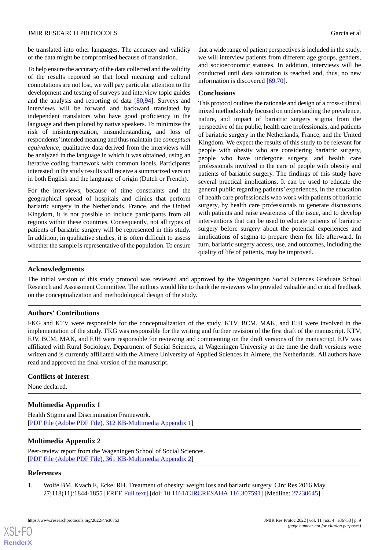be translated into other languages. The accuracy and validity of the data might be compromised because of translation.

To help ensure the accuracy of the data collected and the validity of the results reported so that local meaning and cultural connotations are not lost, we will pay particular attention to the development and testing of surveys and interview topic guides and the analysis and reporting of data [[80](#page-12-3)[,94](#page-12-17)]. Surveys and interviews will be forward and backward translated by independent translators who have good proficiency in the language and then piloted by native speakers. To minimize the risk of misinterpretation, misunderstanding, and loss of respondents'intended meaning and thus maintain the *conceptual equivalence*, qualitative data derived from the interviews will be analyzed in the language in which it was obtained, using an iterative coding framework with common labels. Participants interested in the study results will receive a summarized version in both English and the language of origin (Dutch or French).

For the interviews, because of time constraints and the geographical spread of hospitals and clinics that perform bariatric surgery in the Netherlands, France, and the United Kingdom, it is not possible to include participants from all regions within these countries. Consequently, not all types of patients of bariatric surgery will be represented in this study. In addition, in qualitative studies, it is often difficult to assess whether the sample is representative of the population. To ensure

that a wide range of patient perspectives is included in the study, we will interview patients from different age groups, genders, and socioeconomic statuses. In addition, interviews will be conducted until data saturation is reached and, thus, no new information is discovered [\[69](#page-11-17),[70\]](#page-11-14).

#### **Conclusions**

This protocol outlines the rationale and design of a cross-cultural mixed methods study focused on understanding the prevalence, nature, and impact of bariatric surgery stigma from the perspective of the public, health care professionals, and patients of bariatric surgery in the Netherlands, France, and the United Kingdom. We expect the results of this study to be relevant for people with obesity who are considering bariatric surgery, people who have undergone surgery, and health care professionals involved in the care of people with obesity and patients of bariatric surgery. The findings of this study have several practical implications. It can be used to educate the general public regarding patients' experiences, in the education of health care professionals who work with patients of bariatric surgery, by health care professionals to generate discussions with patients and raise awareness of the issue, and to develop interventions that can be used to educate patients of bariatric surgery before surgery about the potential experiences and implications of stigma to prepare them for life afterward. In turn, bariatric surgery access, use, and outcomes, including the quality of life of patients, may be improved.

#### **Acknowledgments**

The initial version of this study protocol was reviewed and approved by the Wageningen Social Sciences Graduate School Research and Assessment Committee. The authors would like to thank the reviewers who provided valuable and critical feedback on the conceptualization and methodological design of the study.

## **Authors' Contributions**

FKG and KTV were responsible for the conceptualization of the study. KTV, BCM, MAK, and EJH were involved in the implementation of the study. FKG was responsible for the writing and further revision of the first draft of the manuscript. KTV, EJV, BCM, MAK, and EJH were responsible for reviewing and commenting on the draft versions of the manuscript. EJV was affiliated with Rural Sociology, Department of Social Sciences, at Wageningen University at the time the draft versions were written and is currently affiliated with the Almere University of Applied Sciences in Almere, the Netherlands. All authors have read and approved the final version of the manuscript.

#### <span id="page-8-1"></span>**Conflicts of Interest**

None declared.

## <span id="page-8-2"></span>**Multimedia Appendix 1**

Health Stigma and Discrimination Framework. [[PDF File \(Adobe PDF File\), 312 KB](https://jmir.org/api/download?alt_name=resprot_v11i4e36753_app1.pdf&filename=e9f591aa9cddb1427a77280152a64ae2.pdf)-[Multimedia Appendix 1\]](https://jmir.org/api/download?alt_name=resprot_v11i4e36753_app1.pdf&filename=e9f591aa9cddb1427a77280152a64ae2.pdf)

## <span id="page-8-0"></span>**Multimedia Appendix 2**

Peer-review report from the Wageningen School of Social Sciences. [[PDF File \(Adobe PDF File\), 361 KB](https://jmir.org/api/download?alt_name=resprot_v11i4e36753_app2.pdf&filename=10c0e5a0a12ab6467f56793b645f51e7.pdf)-[Multimedia Appendix 2\]](https://jmir.org/api/download?alt_name=resprot_v11i4e36753_app2.pdf&filename=10c0e5a0a12ab6467f56793b645f51e7.pdf)

#### **References**

[XSL](http://www.w3.org/Style/XSL)•FO **[RenderX](http://www.renderx.com/)**

1. Wolfe BM, Kvach E, Eckel RH. Treatment of obesity: weight loss and bariatric surgery. Circ Res 2016 May 27;118(11):1844-1855 [[FREE Full text](http://europepmc.org/abstract/MED/27230645)] [doi: [10.1161/CIRCRESAHA.116.307591](http://dx.doi.org/10.1161/CIRCRESAHA.116.307591)] [Medline: [27230645\]](http://www.ncbi.nlm.nih.gov/entrez/query.fcgi?cmd=Retrieve&db=PubMed&list_uids=27230645&dopt=Abstract)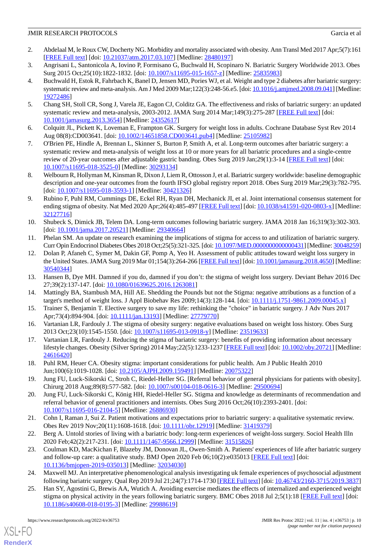- <span id="page-9-0"></span>2. Abdelaal M, le Roux CW, Docherty NG. Morbidity and mortality associated with obesity. Ann Transl Med 2017 Apr;5(7):161 [[FREE Full text](https://doi.org/10.21037/atm.2017.03.107)] [doi: [10.21037/atm.2017.03.107](http://dx.doi.org/10.21037/atm.2017.03.107)] [Medline: [28480197](http://www.ncbi.nlm.nih.gov/entrez/query.fcgi?cmd=Retrieve&db=PubMed&list_uids=28480197&dopt=Abstract)]
- <span id="page-9-1"></span>3. Angrisani L, Santonicola A, Iovino P, Formisano G, Buchwald H, Scopinaro N. Bariatric Surgery Worldwide 2013. Obes Surg 2015 Oct;25(10):1822-1832. [doi: [10.1007/s11695-015-1657-z](http://dx.doi.org/10.1007/s11695-015-1657-z)] [Medline: [25835983\]](http://www.ncbi.nlm.nih.gov/entrez/query.fcgi?cmd=Retrieve&db=PubMed&list_uids=25835983&dopt=Abstract)
- 4. Buchwald H, Estok R, Fahrbach K, Banel D, Jensen MD, Pories WJ, et al. Weight and type 2 diabetes after bariatric surgery: systematic review and meta-analysis. Am J Med 2009 Mar;122(3):248-56.e5. [doi: [10.1016/j.amjmed.2008.09.041](http://dx.doi.org/10.1016/j.amjmed.2008.09.041)] [Medline: [19272486](http://www.ncbi.nlm.nih.gov/entrez/query.fcgi?cmd=Retrieve&db=PubMed&list_uids=19272486&dopt=Abstract)]
- <span id="page-9-3"></span><span id="page-9-2"></span>5. Chang SH, Stoll CR, Song J, Varela JE, Eagon CJ, Colditz GA. The effectiveness and risks of bariatric surgery: an updated systematic review and meta-analysis, 2003-2012. JAMA Surg 2014 Mar;149(3):275-287 [[FREE Full text](http://europepmc.org/abstract/MED/24352617)] [doi: [10.1001/jamasurg.2013.3654](http://dx.doi.org/10.1001/jamasurg.2013.3654)] [Medline: [24352617](http://www.ncbi.nlm.nih.gov/entrez/query.fcgi?cmd=Retrieve&db=PubMed&list_uids=24352617&dopt=Abstract)]
- <span id="page-9-4"></span>6. Colquitt JL, Pickett K, Loveman E, Frampton GK. Surgery for weight loss in adults. Cochrane Database Syst Rev 2014 Aug 08(8):CD003641. [doi: [10.1002/14651858.CD003641.pub4](http://dx.doi.org/10.1002/14651858.CD003641.pub4)] [Medline: [25105982\]](http://www.ncbi.nlm.nih.gov/entrez/query.fcgi?cmd=Retrieve&db=PubMed&list_uids=25105982&dopt=Abstract)
- <span id="page-9-5"></span>7. O'Brien PE, Hindle A, Brennan L, Skinner S, Burton P, Smith A, et al. Long-term outcomes after bariatric surgery: a systematic review and meta-analysis of weight loss at 10 or more years for all bariatric procedures and a single-centre review of 20-year outcomes after adjustable gastric banding. Obes Surg 2019 Jan;29(1):3-14 [\[FREE Full text](http://europepmc.org/abstract/MED/30293134)] [doi: [10.1007/s11695-018-3525-0\]](http://dx.doi.org/10.1007/s11695-018-3525-0) [Medline: [30293134](http://www.ncbi.nlm.nih.gov/entrez/query.fcgi?cmd=Retrieve&db=PubMed&list_uids=30293134&dopt=Abstract)]
- <span id="page-9-6"></span>8. Welbourn R, Hollyman M, Kinsman R, Dixon J, Liem R, Ottosson J, et al. Bariatric surgery worldwide: baseline demographic description and one-year outcomes from the fourth IFSO global registry report 2018. Obes Surg 2019 Mar;29(3):782-795. [doi: [10.1007/s11695-018-3593-1](http://dx.doi.org/10.1007/s11695-018-3593-1)] [Medline: [30421326\]](http://www.ncbi.nlm.nih.gov/entrez/query.fcgi?cmd=Retrieve&db=PubMed&list_uids=30421326&dopt=Abstract)
- <span id="page-9-7"></span>9. Rubino F, Puhl RM, Cummings DE, Eckel RH, Ryan DH, Mechanick JI, et al. Joint international consensus statement for ending stigma of obesity. Nat Med 2020 Apr;26(4):485-497 [[FREE Full text\]](http://europepmc.org/abstract/MED/32127716) [doi: [10.1038/s41591-020-0803-x\]](http://dx.doi.org/10.1038/s41591-020-0803-x) [Medline: [32127716](http://www.ncbi.nlm.nih.gov/entrez/query.fcgi?cmd=Retrieve&db=PubMed&list_uids=32127716&dopt=Abstract)]
- <span id="page-9-9"></span><span id="page-9-8"></span>10. Shubeck S, Dimick JB, Telem DA. Long-term outcomes following bariatric surgery. JAMA 2018 Jan 16;319(3):302-303. [doi: [10.1001/jama.2017.20521\]](http://dx.doi.org/10.1001/jama.2017.20521) [Medline: [29340664](http://www.ncbi.nlm.nih.gov/entrez/query.fcgi?cmd=Retrieve&db=PubMed&list_uids=29340664&dopt=Abstract)]
- 11. Phelan SM. An update on research examining the implications of stigma for access to and utilization of bariatric surgery. Curr Opin Endocrinol Diabetes Obes 2018 Oct;25(5):321-325. [doi: [10.1097/MED.0000000000000431](http://dx.doi.org/10.1097/MED.0000000000000431)] [Medline: [30048259\]](http://www.ncbi.nlm.nih.gov/entrez/query.fcgi?cmd=Retrieve&db=PubMed&list_uids=30048259&dopt=Abstract)
- <span id="page-9-21"></span><span id="page-9-11"></span>12. Dolan P, Afaneh C, Symer M, Dakin GF, Pomp A, Yeo H. Assessment of public attitudes toward weight loss surgery in the United States. JAMA Surg 2019 Mar 01;154(3):264-266 [\[FREE Full text](http://europepmc.org/abstract/MED/30540344)] [doi: [10.1001/jamasurg.2018.4650](http://dx.doi.org/10.1001/jamasurg.2018.4650)] [Medline: [30540344](http://www.ncbi.nlm.nih.gov/entrez/query.fcgi?cmd=Retrieve&db=PubMed&list_uids=30540344&dopt=Abstract)]
- <span id="page-9-16"></span>13. Hansen B, Dye MH. Damned if you do, damned if you don't: the stigma of weight loss surgery. Deviant Behav 2016 Dec 27;39(2):137-147. [doi: [10.1080/01639625.2016.1263081\]](http://dx.doi.org/10.1080/01639625.2016.1263081)
- <span id="page-9-12"></span>14. Mattingly BA, Stambush MA, Hill AE. Shedding the Pounds but not the Stigma: negative attributions as a function of a target's method of weight loss. J Appl Biobehav Res 2009;14(3):128-144. [doi: [10.1111/j.1751-9861.2009.00045.x](http://dx.doi.org/10.1111/j.1751-9861.2009.00045.x)]
- <span id="page-9-10"></span>15. Trainer S, Benjamin T. Elective surgery to save my life: rethinking the "choice" in bariatric surgery. J Adv Nurs 2017 Apr;73(4):894-904. [doi: [10.1111/jan.13193](http://dx.doi.org/10.1111/jan.13193)] [Medline: [27779770\]](http://www.ncbi.nlm.nih.gov/entrez/query.fcgi?cmd=Retrieve&db=PubMed&list_uids=27779770&dopt=Abstract)
- <span id="page-9-13"></span>16. Vartanian LR, Fardouly J. The stigma of obesity surgery: negative evaluations based on weight loss history. Obes Surg 2013 Oct;23(10):1545-1550. [doi: [10.1007/s11695-013-0918-y\]](http://dx.doi.org/10.1007/s11695-013-0918-y) [Medline: [23519633](http://www.ncbi.nlm.nih.gov/entrez/query.fcgi?cmd=Retrieve&db=PubMed&list_uids=23519633&dopt=Abstract)]
- <span id="page-9-14"></span>17. Vartanian LR, Fardouly J. Reducing the stigma of bariatric surgery: benefits of providing information about necessary lifestyle changes. Obesity (Silver Spring) 2014 May;22(5):1233-1237 [\[FREE Full text\]](https://doi.org/10.1002/oby.20721) [doi: [10.1002/oby.20721](http://dx.doi.org/10.1002/oby.20721)] [Medline: [24616420](http://www.ncbi.nlm.nih.gov/entrez/query.fcgi?cmd=Retrieve&db=PubMed&list_uids=24616420&dopt=Abstract)]
- <span id="page-9-15"></span>18. Puhl RM, Heuer CA. Obesity stigma: important considerations for public health. Am J Public Health 2010 Jun;100(6):1019-1028. [doi: [10.2105/AJPH.2009.159491](http://dx.doi.org/10.2105/AJPH.2009.159491)] [Medline: [20075322](http://www.ncbi.nlm.nih.gov/entrez/query.fcgi?cmd=Retrieve&db=PubMed&list_uids=20075322&dopt=Abstract)]
- <span id="page-9-17"></span>19. Jung FU, Luck-Sikorski C, Stroh C, Riedel-Heller SG. [Referral behavior of general physicians for patients with obesity]. Chirurg 2018 Aug;89(8):577-582. [doi: [10.1007/s00104-018-0616-3\]](http://dx.doi.org/10.1007/s00104-018-0616-3) [Medline: [29500694](http://www.ncbi.nlm.nih.gov/entrez/query.fcgi?cmd=Retrieve&db=PubMed&list_uids=29500694&dopt=Abstract)]
- <span id="page-9-22"></span><span id="page-9-18"></span>20. Jung FU, Luck-Sikorski C, König HH, Riedel-Heller SG. Stigma and knowledge as determinants of recommendation and referral behavior of general practitioners and internists. Obes Surg 2016 Oct;26(10):2393-2401. [doi: [10.1007/s11695-016-2104-5\]](http://dx.doi.org/10.1007/s11695-016-2104-5) [Medline: [26886930](http://www.ncbi.nlm.nih.gov/entrez/query.fcgi?cmd=Retrieve&db=PubMed&list_uids=26886930&dopt=Abstract)]
- 21. Cohn I, Raman J, Sui Z. Patient motivations and expectations prior to bariatric surgery: a qualitative systematic review. Obes Rev 2019 Nov;20(11):1608-1618. [doi: [10.1111/obr.12919](http://dx.doi.org/10.1111/obr.12919)] [Medline: [31419379\]](http://www.ncbi.nlm.nih.gov/entrez/query.fcgi?cmd=Retrieve&db=PubMed&list_uids=31419379&dopt=Abstract)
- <span id="page-9-20"></span><span id="page-9-19"></span>22. Berg A. Untold stories of living with a bariatric body: long-term experiences of weight-loss surgery. Sociol Health Illn 2020 Feb;42(2):217-231. [doi: [10.1111/1467-9566.12999](http://dx.doi.org/10.1111/1467-9566.12999)] [Medline: [31515826\]](http://www.ncbi.nlm.nih.gov/entrez/query.fcgi?cmd=Retrieve&db=PubMed&list_uids=31515826&dopt=Abstract)
- 23. Coulman KD, MacKichan F, Blazeby JM, Donovan JL, Owen-Smith A. Patients' experiences of life after bariatric surgery and follow-up care: a qualitative study. BMJ Open 2020 Feb 06;10(2):e035013 [[FREE Full text](https://bmjopen.bmj.com/lookup/pmidlookup?view=long&pmid=32034030)] [doi: [10.1136/bmjopen-2019-035013\]](http://dx.doi.org/10.1136/bmjopen-2019-035013) [Medline: [32034030](http://www.ncbi.nlm.nih.gov/entrez/query.fcgi?cmd=Retrieve&db=PubMed&list_uids=32034030&dopt=Abstract)]
- 24. Maxwell MJ. An interpretative phenomenological analysis investigating uk female experiences of psychosocial adjustment following bariatric surgery. Qual Rep 2019 Jul 21;24(7):1714-1730 [[FREE Full text](https://nsuworks.nova.edu/cgi/viewcontent.cgi?article=3837&context=tqr)] [doi: [10.46743/2160-3715/2019.3837](http://dx.doi.org/10.46743/2160-3715/2019.3837)]
- 25. Han SY, Agostini G, Brewis AA, Wutich A. Avoiding exercise mediates the effects of internalized and experienced weight stigma on physical activity in the years following bariatric surgery. BMC Obes 2018 Jul 2;5(1):18 [\[FREE Full text\]](https://bmcobes.biomedcentral.com/articles/10.1186/s40608-018-0195-3) [doi: [10.1186/s40608-018-0195-3\]](http://dx.doi.org/10.1186/s40608-018-0195-3) [Medline: [29988619](http://www.ncbi.nlm.nih.gov/entrez/query.fcgi?cmd=Retrieve&db=PubMed&list_uids=29988619&dopt=Abstract)]

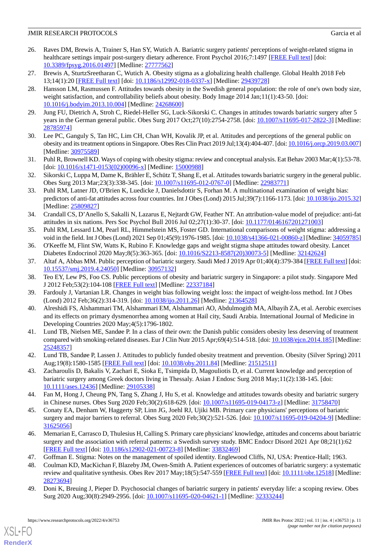- <span id="page-10-0"></span>26. Raves DM, Brewis A, Trainer S, Han SY, Wutich A. Bariatric surgery patients' perceptions of weight-related stigma in healthcare settings impair post-surgery dietary adherence. Front Psychol 2016;7:1497 [[FREE Full text](https://doi.org/10.3389/fpsyg.2016.01497)] [doi: [10.3389/fpsyg.2016.01497](http://dx.doi.org/10.3389/fpsyg.2016.01497)] [Medline: [27777562\]](http://www.ncbi.nlm.nih.gov/entrez/query.fcgi?cmd=Retrieve&db=PubMed&list_uids=27777562&dopt=Abstract)
- <span id="page-10-1"></span>27. Brewis A, SturtzSreetharan C, Wutich A. Obesity stigma as a globalizing health challenge. Global Health 2018 Feb 13;14(1):20 [[FREE Full text\]](https://globalizationandhealth.biomedcentral.com/articles/10.1186/s12992-018-0337-x) [doi: [10.1186/s12992-018-0337-x](http://dx.doi.org/10.1186/s12992-018-0337-x)] [Medline: [29439728](http://www.ncbi.nlm.nih.gov/entrez/query.fcgi?cmd=Retrieve&db=PubMed&list_uids=29439728&dopt=Abstract)]
- 28. Hansson LM, Rasmussen F. Attitudes towards obesity in the Swedish general population: the role of one's own body size, weight satisfaction, and controllability beliefs about obesity. Body Image 2014 Jan;11(1):43-50. [doi: [10.1016/j.bodyim.2013.10.004](http://dx.doi.org/10.1016/j.bodyim.2013.10.004)] [Medline: [24268600\]](http://www.ncbi.nlm.nih.gov/entrez/query.fcgi?cmd=Retrieve&db=PubMed&list_uids=24268600&dopt=Abstract)
- <span id="page-10-4"></span><span id="page-10-3"></span>29. Jung FU, Dietrich A, Stroh C, Riedel-Heller SG, Luck-Sikorski C. Changes in attitudes towards bariatric surgery after 5 years in the German general public. Obes Surg 2017 Oct;27(10):2754-2758. [doi: [10.1007/s11695-017-2822-3\]](http://dx.doi.org/10.1007/s11695-017-2822-3) [Medline: [28785974](http://www.ncbi.nlm.nih.gov/entrez/query.fcgi?cmd=Retrieve&db=PubMed&list_uids=28785974&dopt=Abstract)]
- 30. Lee PC, Ganguly S, Tan HC, Lim CH, Chan WH, Kovalik JP, et al. Attitudes and perceptions of the general public on obesity and its treatment options in Singapore. Obes Res Clin Pract 2019 Jul;13(4):404-407. [doi: [10.1016/j.orcp.2019.03.007](http://dx.doi.org/10.1016/j.orcp.2019.03.007)] [Medline: [30975589](http://www.ncbi.nlm.nih.gov/entrez/query.fcgi?cmd=Retrieve&db=PubMed&list_uids=30975589&dopt=Abstract)]
- <span id="page-10-5"></span>31. Puhl R, Brownell KD. Ways of coping with obesity stigma: review and conceptual analysis. Eat Behav 2003 Mar;4(1):53-78. [doi: [10.1016/s1471-0153\(02\)00096-x](http://dx.doi.org/10.1016/s1471-0153(02)00096-x)] [Medline: [15000988](http://www.ncbi.nlm.nih.gov/entrez/query.fcgi?cmd=Retrieve&db=PubMed&list_uids=15000988&dopt=Abstract)]
- 32. Sikorski C, Luppa M, Dame K, Brähler E, Schütz T, Shang E, et al. Attitudes towards bariatric surgery in the general public. Obes Surg 2013 Mar;23(3):338-345. [doi: [10.1007/s11695-012-0767-0](http://dx.doi.org/10.1007/s11695-012-0767-0)] [Medline: [22983771\]](http://www.ncbi.nlm.nih.gov/entrez/query.fcgi?cmd=Retrieve&db=PubMed&list_uids=22983771&dopt=Abstract)
- <span id="page-10-20"></span>33. Puhl RM, Latner JD, O'Brien K, Luedicke J, Danielsdottir S, Forhan M. A multinational examination of weight bias: predictors of anti-fat attitudes across four countries. Int J Obes (Lond) 2015 Jul;39(7):1166-1173. [doi: [10.1038/ijo.2015.32\]](http://dx.doi.org/10.1038/ijo.2015.32) [Medline: [25809827](http://www.ncbi.nlm.nih.gov/entrez/query.fcgi?cmd=Retrieve&db=PubMed&list_uids=25809827&dopt=Abstract)]
- <span id="page-10-6"></span><span id="page-10-2"></span>34. Crandall CS, D'Anello S, Sakalli N, Lazarus E, Nejtardt GW, Feather NT. An attribution-value model of prejudice: anti-fat attitudes in six nations. Pers Soc Psychol Bull 2016 Jul 02;27(1):30-37. [doi: [10.1177/0146167201271003](http://dx.doi.org/10.1177/0146167201271003)]
- <span id="page-10-15"></span>35. Puhl RM, Lessard LM, Pearl RL, Himmelstein MS, Foster GD. International comparisons of weight stigma: addressing a void in the field. Int J Obes (Lond) 2021 Sep 01;45(9):1976-1985. [doi: [10.1038/s41366-021-00860-z\]](http://dx.doi.org/10.1038/s41366-021-00860-z) [Medline: [34059785](http://www.ncbi.nlm.nih.gov/entrez/query.fcgi?cmd=Retrieve&db=PubMed&list_uids=34059785&dopt=Abstract)]
- <span id="page-10-13"></span>36. O'Keeffe M, Flint SW, Watts K, Rubino F. Knowledge gaps and weight stigma shape attitudes toward obesity. Lancet Diabetes Endocrinol 2020 May;8(5):363-365. [doi: [10.1016/S2213-8587\(20\)30073-5\]](http://dx.doi.org/10.1016/S2213-8587(20)30073-5) [Medline: [32142624\]](http://www.ncbi.nlm.nih.gov/entrez/query.fcgi?cmd=Retrieve&db=PubMed&list_uids=32142624&dopt=Abstract)
- <span id="page-10-11"></span>37. Altaf A, Abbas MM. Public perception of bariatric surgery. Saudi Med J 2019 Apr 01;40(4):379-384 [[FREE Full text](https://doi.org/10.15537/smj.2019.4.24050)] [doi: [10.15537/smj.2019.4.24050\]](http://dx.doi.org/10.15537/smj.2019.4.24050) [Medline: [30957132](http://www.ncbi.nlm.nih.gov/entrez/query.fcgi?cmd=Retrieve&db=PubMed&list_uids=30957132&dopt=Abstract)]
- <span id="page-10-16"></span>38. Teo EY, Lew PS, Foo CS. Public perceptions of obesity and bariatric surgery in Singapore: a pilot study. Singapore Med J 2012 Feb;53(2):104-108 [[FREE Full text](http://smj.sma.org.sg/5302/5302a6.pdf)] [Medline: [22337184\]](http://www.ncbi.nlm.nih.gov/entrez/query.fcgi?cmd=Retrieve&db=PubMed&list_uids=22337184&dopt=Abstract)
- <span id="page-10-12"></span>39. Fardouly J, Vartanian LR. Changes in weight bias following weight loss: the impact of weight-loss method. Int J Obes (Lond) 2012 Feb;36(2):314-319. [doi: [10.1038/ijo.2011.26](http://dx.doi.org/10.1038/ijo.2011.26)] [Medline: [21364528\]](http://www.ncbi.nlm.nih.gov/entrez/query.fcgi?cmd=Retrieve&db=PubMed&list_uids=21364528&dopt=Abstract)
- <span id="page-10-7"></span>40. Alreshidi FS, Alshammari TM, Alshammari EM, Alshammari AO, Abdulmogith MA, Albayih ZA, et al. Aerobic exercises and its effects on primary dysmenorrhea among women at Hail city, Saudi Arabia. International Journal of Medicine in Developing Countries 2020 May;4(5):1796-1802.
- <span id="page-10-8"></span>41. Lund TB, Nielsen ME, Sandøe P. In a class of their own: the Danish public considers obesity less deserving of treatment compared with smoking-related diseases. Eur J Clin Nutr 2015 Apr;69(4):514-518. [doi: [10.1038/ejcn.2014.185](http://dx.doi.org/10.1038/ejcn.2014.185)] [Medline: [25248357](http://www.ncbi.nlm.nih.gov/entrez/query.fcgi?cmd=Retrieve&db=PubMed&list_uids=25248357&dopt=Abstract)]
- <span id="page-10-19"></span>42. Lund TB, Sandøe P, Lassen J. Attitudes to publicly funded obesity treatment and prevention. Obesity (Silver Spring) 2011 Aug;19(8):1580-1585 [\[FREE Full text](https://doi.org/10.1038/oby.2011.84)] [doi: [10.1038/oby.2011.84](http://dx.doi.org/10.1038/oby.2011.84)] [Medline: [21512511](http://www.ncbi.nlm.nih.gov/entrez/query.fcgi?cmd=Retrieve&db=PubMed&list_uids=21512511&dopt=Abstract)]
- <span id="page-10-14"></span>43. Zacharoulis D, Bakalis V, Zachari E, Sioka E, Tsimpida D, Magouliotis D, et al. Current knowledge and perception of bariatric surgery among Greek doctors living in Thessaly. Asian J Endosc Surg 2018 May;11(2):138-145. [doi: [10.1111/ases.12436\]](http://dx.doi.org/10.1111/ases.12436) [Medline: [29105338\]](http://www.ncbi.nlm.nih.gov/entrez/query.fcgi?cmd=Retrieve&db=PubMed&list_uids=29105338&dopt=Abstract)
- <span id="page-10-9"></span>44. Fan M, Hong J, Cheung PN, Tang S, Zhang J, Hu S, et al. Knowledge and attitudes towards obesity and bariatric surgery in Chinese nurses. Obes Surg 2020 Feb;30(2):618-629. [doi: [10.1007/s11695-019-04173-z](http://dx.doi.org/10.1007/s11695-019-04173-z)] [Medline: [31758470](http://www.ncbi.nlm.nih.gov/entrez/query.fcgi?cmd=Retrieve&db=PubMed&list_uids=31758470&dopt=Abstract)]
- <span id="page-10-17"></span><span id="page-10-10"></span>45. Conaty EA, Denham W, Haggerty SP, Linn JG, Joehl RJ, Ujiki MB. Primary care physicians' perceptions of bariatric surgery and major barriers to referral. Obes Surg 2020 Feb;30(2):521-526. [doi: [10.1007/s11695-019-04204-9](http://dx.doi.org/10.1007/s11695-019-04204-9)] [Medline: [31625056](http://www.ncbi.nlm.nih.gov/entrez/query.fcgi?cmd=Retrieve&db=PubMed&list_uids=31625056&dopt=Abstract)]
- <span id="page-10-18"></span>46. Memarian E, Carrasco D, Thulesius H, Calling S. Primary care physicians' knowledge, attitudes and concerns about bariatric surgery and the association with referral patterns: a Swedish survey study. BMC Endocr Disord 2021 Apr 08;21(1):62 [[FREE Full text](https://bmcendocrdisord.biomedcentral.com/articles/10.1186/s12902-021-00723-8)] [doi: [10.1186/s12902-021-00723-8\]](http://dx.doi.org/10.1186/s12902-021-00723-8) [Medline: [33832469](http://www.ncbi.nlm.nih.gov/entrez/query.fcgi?cmd=Retrieve&db=PubMed&list_uids=33832469&dopt=Abstract)]
- 47. Goffman E. Stigma: Notes on the management of spoiled identity. Englewood Cliffs, NJ, USA: Prentice-Hall; 1963.
- 48. Coulman KD, MacKichan F, Blazeby JM, Owen-Smith A. Patient experiences of outcomes of bariatric surgery: a systematic review and qualitative synthesis. Obes Rev 2017 May;18(5):547-559 [\[FREE Full text](http://europepmc.org/abstract/MED/28273694)] [doi: [10.1111/obr.12518\]](http://dx.doi.org/10.1111/obr.12518) [Medline: [28273694](http://www.ncbi.nlm.nih.gov/entrez/query.fcgi?cmd=Retrieve&db=PubMed&list_uids=28273694&dopt=Abstract)]
- 49. Doni K, Breuing J, Pieper D. Psychosocial changes of bariatric surgery in patients' everyday life: a scoping review. Obes Surg 2020 Aug;30(8):2949-2956. [doi: [10.1007/s11695-020-04621-1\]](http://dx.doi.org/10.1007/s11695-020-04621-1) [Medline: [32333244](http://www.ncbi.nlm.nih.gov/entrez/query.fcgi?cmd=Retrieve&db=PubMed&list_uids=32333244&dopt=Abstract)]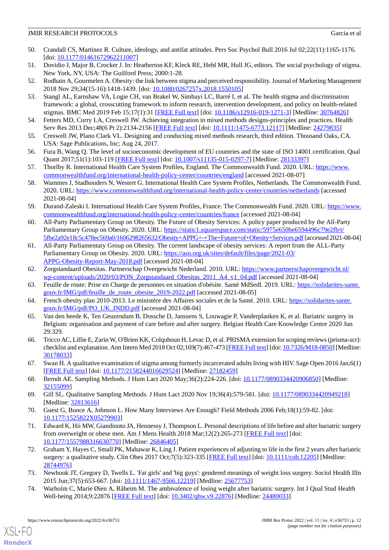- <span id="page-11-0"></span>50. Crandall CS, Martinez R. Culture, ideology, and antifat attitudes. Pers Soc Psychol Bull 2016 Jul 02;22(11):1165-1176. [doi: [10.1177/01461672962211007](http://dx.doi.org/10.1177/01461672962211007)]
- <span id="page-11-2"></span><span id="page-11-1"></span>51. Dovidio J, Major B, Crocker J. In: Heatherton KF, Kleck RE, Hebl MR, Hull JG, editors. The social psychology of stigma. New York, NY, USA: The Guilford Press; 2000:1-28.
- <span id="page-11-3"></span>52. Rodhain A, Gourmelen A. Obesity: the link between stigma and perceived responsibility. Journal of Marketing Management 2018 Nov 29;34(15-16):1418-1439. [doi: [10.1080/0267257x.2018.1550105](http://dx.doi.org/10.1080/0267257x.2018.1550105)]
- <span id="page-11-4"></span>53. Stangl AL, Earnshaw VA, Logie CH, van Brakel W, Simbayi LC, Barré I, et al. The health stigma and discrimination framework: a global, crosscutting framework to inform research, intervention development, and policy on health-related stigmas. BMC Med 2019 Feb 15;17(1):31 [[FREE Full text](https://bmcmedicine.biomedcentral.com/articles/10.1186/s12916-019-1271-3)] [doi: [10.1186/s12916-019-1271-3](http://dx.doi.org/10.1186/s12916-019-1271-3)] [Medline: [30764826](http://www.ncbi.nlm.nih.gov/entrez/query.fcgi?cmd=Retrieve&db=PubMed&list_uids=30764826&dopt=Abstract)]
- <span id="page-11-5"></span>54. Fetters MD, Curry LA, Creswell JW. Achieving integration in mixed methods designs-principles and practices. Health Serv Res 2013 Dec;48(6 Pt 2):2134-2156 [\[FREE Full text\]](http://europepmc.org/abstract/MED/24279835) [doi: [10.1111/1475-6773.12117\]](http://dx.doi.org/10.1111/1475-6773.12117) [Medline: [24279835\]](http://www.ncbi.nlm.nih.gov/entrez/query.fcgi?cmd=Retrieve&db=PubMed&list_uids=24279835&dopt=Abstract)
- <span id="page-11-6"></span>55. Creswell JW, Plano Clark VL. Designing and conducting mixed methods research, third edition. Thousand Oaks, CA. USA: Sage Publications, Inc; Aug 24, 2017.
- <span id="page-11-7"></span>56. Fura B, Wang Q. The level of socioeconomic development of EU countries and the state of ISO 14001 certification. Qual Quant 2017;51(1):103-119 [[FREE Full text](http://europepmc.org/abstract/MED/28133397)] [doi: [10.1007/s11135-015-0297-7\]](http://dx.doi.org/10.1007/s11135-015-0297-7) [Medline: [28133397](http://www.ncbi.nlm.nih.gov/entrez/query.fcgi?cmd=Retrieve&db=PubMed&list_uids=28133397&dopt=Abstract)]
- 57. Thorlby R. International Health Care System Profiles, England. The Commonwealth Fund. 2020. URL: [https://www.](https://www.commonwealthfund.org/international-health-policy-center/countries/england) [commonwealthfund.org/international-health-policy-center/countries/england](https://www.commonwealthfund.org/international-health-policy-center/countries/england) [accessed 2021-08-07]
- <span id="page-11-8"></span>58. Wammes J, Stadhouders N, Westert G. International Health Care System Profiles, Netherlands. The Commonwealth Fund. 2020. URL: <https://www.commonwealthfund.org/international-health-policy-center/countries/netherlands> [accessed 2021-08-04]
- <span id="page-11-9"></span>59. Durand-Zaleski I. International Health Care System Profiles, France. The Commonwealth Fund. 2020. URL: [https://www.](https://www.commonwealthfund.org/international-health-policy-center/countries/france) [commonwealthfund.org/international-health-policy-center/countries/france](https://www.commonwealthfund.org/international-health-policy-center/countries/france) [accessed 2021-08-04]
- 60. All-Party Parliamentary Group on Obesity. The Future of Obesity Services: A policy paper produced by the All-Party Parliamentary Group on Obesity. 2020. URL: [https://static1.squarespace.com/static/5975e650be6594496c79e2fb/t/](https://static1.squarespace.com/static/5975e650be6594496c79e2fb/t/5fbe2a92e18c5c478ec569a0/1606298265632/Obesity+APPG+-+The+Future+of+Obesity+Services.pdf) [5fbe2a92e18c5c478ec569a0/1606298265632/Obesity+APPG+-+The+Future+of+Obesity+Services.pdf](https://static1.squarespace.com/static/5975e650be6594496c79e2fb/t/5fbe2a92e18c5c478ec569a0/1606298265632/Obesity+APPG+-+The+Future+of+Obesity+Services.pdf)[accessed 2021-08-04]
- 61. All-Party Parliamentary Group on Obesity. The current landscape of obesity services: A report from the ALL-Party Parliamentary Group on Obesity. 2020. URL: [https://aso.org.uk/sites/default/files/page/2021-03/](https://aso.org.uk/sites/default/files/page/2021-03/APPG-Obesity-Report-May-2018.pdf) [APPG-Obesity-Report-May-2018.pdf](https://aso.org.uk/sites/default/files/page/2021-03/APPG-Obesity-Report-May-2018.pdf) [accessed 2021-08-04]
- 62. Zorgstandaard Obesitas. Partnerschap Overgewicht Nederland. 2010. URL: [https://www.partnerschapovergewicht.nl/](https://www.partnerschapovergewicht.nl/wp-content/uploads/2020/03/PON_Zorgstandaard_Obesitas_2011_A4_v1_04.pdf) [wp-content/uploads/2020/03/PON\\_Zorgstandaard\\_Obesitas\\_2011\\_A4\\_v1\\_04.pdf](https://www.partnerschapovergewicht.nl/wp-content/uploads/2020/03/PON_Zorgstandaard_Obesitas_2011_A4_v1_04.pdf) [accessed 2021-08-04]
- <span id="page-11-10"></span>63. Feuille de route: Prise en Charge de personnes en situation d'obésite. Santé MdSedl. 2019. URL: [https://solidarites-sante.](https://solidarites-sante.gouv.fr/IMG/pdf/feuille_de_route_obesite_2019-2022.pdf) [gouv.fr/IMG/pdf/feuille\\_de\\_route\\_obesite\\_2019-2022.pdf](https://solidarites-sante.gouv.fr/IMG/pdf/feuille_de_route_obesite_2019-2022.pdf) [accessed 2021-08-05]
- <span id="page-11-11"></span>64. French obesity plan 2010-2013. Le ministère des Affaires sociales et de la Santé. 2010. URL: [https://solidarites-sante.](https://solidarites-sante.gouv.fr/IMG/pdf/PO_UK_INDD.pdf) [gouv.fr/IMG/pdf/PO\\_UK\\_INDD.pdf](https://solidarites-sante.gouv.fr/IMG/pdf/PO_UK_INDD.pdf) [accessed 2021-08-04]
- <span id="page-11-12"></span>65. Van den heede K, Ten Geuzendam B, Dossche D, Janssens S, Louwagie P, Vanderplanken K, et al. Bariatric surgery in Belgium: organisation and payment of care before and after surgery. Belgian Health Care Knowledge Centre 2020 Jun 29:329.
- <span id="page-11-13"></span>66. Tricco AC, Lillie E, Zarin W, O'Brien KK, Colquhoun H, Levac D, et al. PRISMA extension for scoping reviews (prisma-scr): checklist and explanation. Ann Intern Med 2018 Oct 02;169(7):467-473 [[FREE Full text\]](https://www.acpjournals.org/doi/abs/10.7326/M18-0850?url_ver=Z39.88-2003&rfr_id=ori:rid:crossref.org&rfr_dat=cr_pub%3dpubmed) [doi: [10.7326/M18-0850\]](http://dx.doi.org/10.7326/M18-0850) [Medline: [30178033](http://www.ncbi.nlm.nih.gov/entrez/query.fcgi?cmd=Retrieve&db=PubMed&list_uids=30178033&dopt=Abstract)]
- <span id="page-11-17"></span><span id="page-11-14"></span>67. Swan H. A qualitative examination of stigma among formerly incarcerated adults living with HIV. Sage Open 2016 Jan;6(1) [[FREE Full text](https://journals.sagepub.com/doi/10.1177/2158244016629524?url_ver=Z39.88-2003&rfr_id=ori:rid:crossref.org&rfr_dat=cr_pub%3dpubmed)] [doi: [10.1177/2158244016629524\]](http://dx.doi.org/10.1177/2158244016629524) [Medline: [27182459](http://www.ncbi.nlm.nih.gov/entrez/query.fcgi?cmd=Retrieve&db=PubMed&list_uids=27182459&dopt=Abstract)]
- <span id="page-11-15"></span>68. Berndt AE. Sampling Methods. J Hum Lact 2020 May;36(2):224-226. [doi: [10.1177/0890334420906850\]](http://dx.doi.org/10.1177/0890334420906850) [Medline: [32155099](http://www.ncbi.nlm.nih.gov/entrez/query.fcgi?cmd=Retrieve&db=PubMed&list_uids=32155099&dopt=Abstract)]
- 69. Gill SL. Qualitative Sampling Methods. J Hum Lact 2020 Nov 19;36(4):579-581. [doi: [10.1177/0890334420949218](http://dx.doi.org/10.1177/0890334420949218)] [Medline: [32813616](http://www.ncbi.nlm.nih.gov/entrez/query.fcgi?cmd=Retrieve&db=PubMed&list_uids=32813616&dopt=Abstract)]
- 70. Guest G, Bunce A, Johnson L. How Many Interviews Are Enough? Field Methods 2006 Feb;18(1):59-82. [doi: [10.1177/1525822X05279903](http://dx.doi.org/10.1177/1525822X05279903)]
- 71. Edward K, Hii MW, Giandinoto JA, Hennessy J, Thompson L. Personal descriptions of life before and after bariatric surgery from overweight or obese men. Am J Mens Health 2018 Mar;12(2):265-273 [\[FREE Full text\]](https://journals.sagepub.com/doi/10.1177/1557988316630770?url_ver=Z39.88-2003&rfr_id=ori:rid:crossref.org&rfr_dat=cr_pub%3dpubmed) [doi: [10.1177/1557988316630770\]](http://dx.doi.org/10.1177/1557988316630770) [Medline: [26846405\]](http://www.ncbi.nlm.nih.gov/entrez/query.fcgi?cmd=Retrieve&db=PubMed&list_uids=26846405&dopt=Abstract)
- <span id="page-11-16"></span>72. Graham Y, Hayes C, Small PK, Mahawar K, Ling J. Patient experiences of adjusting to life in the first 2 years after bariatric surgery: a qualitative study. Clin Obes 2017 Oct;7(5):323-335 [[FREE Full text](http://europepmc.org/abstract/MED/28744976)] [doi: [10.1111/cob.12205](http://dx.doi.org/10.1111/cob.12205)] [Medline: [28744976](http://www.ncbi.nlm.nih.gov/entrez/query.fcgi?cmd=Retrieve&db=PubMed&list_uids=28744976&dopt=Abstract)]
- 73. Newhook JT, Gregory D, Twells L. 'Fat girls' and 'big guys': gendered meanings of weight loss surgery. Sociol Health Illn 2015 Jun;37(5):653-667. [doi: [10.1111/1467-9566.12219\]](http://dx.doi.org/10.1111/1467-9566.12219) [Medline: [25677753\]](http://www.ncbi.nlm.nih.gov/entrez/query.fcgi?cmd=Retrieve&db=PubMed&list_uids=25677753&dopt=Abstract)
- 74. Warholm C, Marie Øien A, Råheim M. The ambivalence of losing weight after bariatric surgery. Int J Qual Stud Health Well-being 2014;9:22876 [[FREE Full text](http://europepmc.org/abstract/MED/24480033)] [doi: [10.3402/qhw.v9.22876](http://dx.doi.org/10.3402/qhw.v9.22876)] [Medline: [24480033\]](http://www.ncbi.nlm.nih.gov/entrez/query.fcgi?cmd=Retrieve&db=PubMed&list_uids=24480033&dopt=Abstract)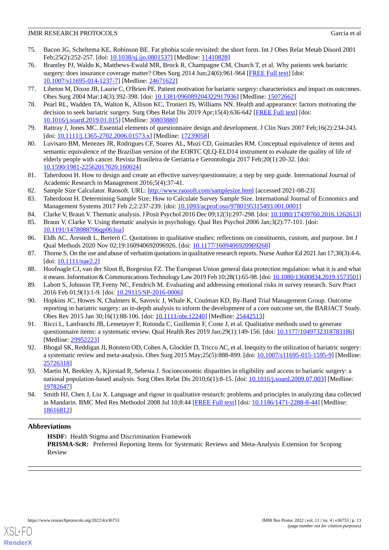- <span id="page-12-0"></span>75. Bacon JG, Scheltema KE, Robinson BE. Fat phobia scale revisited: the short form. Int J Obes Relat Metab Disord 2001 Feb;25(2):252-257. [doi: [10.1038/sj.ijo.0801537\]](http://dx.doi.org/10.1038/sj.ijo.0801537) [Medline: [11410828\]](http://www.ncbi.nlm.nih.gov/entrez/query.fcgi?cmd=Retrieve&db=PubMed&list_uids=11410828&dopt=Abstract)
- 76. Brantley PJ, Waldo K, Matthews-Ewald MR, Brock R, Champagne CM, Church T, et al. Why patients seek bariatric surgery: does insurance coverage matter? Obes Surg 2014 Jun;24(6):961-964 [\[FREE Full text\]](http://europepmc.org/abstract/MED/24671622) [doi: [10.1007/s11695-014-1237-7\]](http://dx.doi.org/10.1007/s11695-014-1237-7) [Medline: [24671622](http://www.ncbi.nlm.nih.gov/entrez/query.fcgi?cmd=Retrieve&db=PubMed&list_uids=24671622&dopt=Abstract)]
- <span id="page-12-1"></span>77. Libeton M, Dixon JB, Laurie C, O'Brien PE. Patient motivation for bariatric surgery: characteristics and impact on outcomes. Obes Surg 2004 Mar;14(3):392-398. [doi: [10.1381/096089204322917936](http://dx.doi.org/10.1381/096089204322917936)] [Medline: [15072662\]](http://www.ncbi.nlm.nih.gov/entrez/query.fcgi?cmd=Retrieve&db=PubMed&list_uids=15072662&dopt=Abstract)
- <span id="page-12-2"></span>78. Pearl RL, Wadden TA, Walton K, Allison KC, Tronieri JS, Williams NN. Health and appearance: factors motivating the decision to seek bariatric surgery. Surg Obes Relat Dis 2019 Apr;15(4):636-642 [[FREE Full text\]](http://europepmc.org/abstract/MED/30803880) [doi: [10.1016/j.soard.2019.01.015](http://dx.doi.org/10.1016/j.soard.2019.01.015)] [Medline: [30803880](http://www.ncbi.nlm.nih.gov/entrez/query.fcgi?cmd=Retrieve&db=PubMed&list_uids=30803880&dopt=Abstract)]
- <span id="page-12-3"></span>79. Rattray J, Jones MC. Essential elements of questionnaire design and development. J Clin Nurs 2007 Feb;16(2):234-243. [doi: [10.1111/j.1365-2702.2006.01573.x](http://dx.doi.org/10.1111/j.1365-2702.2006.01573.x)] [Medline: [17239058](http://www.ncbi.nlm.nih.gov/entrez/query.fcgi?cmd=Retrieve&db=PubMed&list_uids=17239058&dopt=Abstract)]
- <span id="page-12-4"></span>80. Luvisaro BM, Menezes JR, Rodrigues CF, Soares AL, Muzi CD, Guimarães RM. Conceptual equivalence of items and semantic equivalence of the Brazilian version of the EORTC QLQ-ELD14 instrument to evaluate the quality of life of elderly people with cancer. Revista Brasileira de Geriatria e Gerontologia 2017 Feb;20(1):20-32. [doi: [10.1590/1981-22562017020.160024\]](http://dx.doi.org/10.1590/1981-22562017020.160024)
- <span id="page-12-6"></span><span id="page-12-5"></span>81. Taherdoost H. How to design and create an effective survey/questionnaire; a step by step guide. International Journal of Academic Research in Management 2016;5(4):37-41.
- <span id="page-12-7"></span>82. Sample Size Calculator. Raosoft. URL:<http://www.raosoft.com/samplesize.html> [accessed 2021-08-23]
- <span id="page-12-8"></span>83. Taherdoost H. Determining Sample Size; How to Calculate Survey Sample Size. International Journal of Economics and Management Systems 2017 Feb 2;2:237-239. [doi: [10.1093/acprof:oso/9780195315493.001.0001\]](http://dx.doi.org/10.1093/acprof:oso/9780195315493.001.0001)
- <span id="page-12-9"></span>84. Clarke V, Braun V. Thematic analysis. J Posit Psychol 2016 Dec 09;12(3):297-298. [doi: [10.1080/17439760.2016.1262613](http://dx.doi.org/10.1080/17439760.2016.1262613)]
- <span id="page-12-10"></span>85. Braun V, Clarke V. Using thematic analysis in psychology. Qual Res Psychol 2006 Jan;3(2):77-101. [doi: [10.1191/1478088706qp063oa](http://dx.doi.org/10.1191/1478088706qp063oa)]
- <span id="page-12-11"></span>86. Eldh AC, Årestedt L, Berterö C. Quotations in qualitative studies: reflections on constituents, custom, and purpose. Int J Qual Methods 2020 Nov 02;19:160940692096926. [doi: [10.1177/1609406920969268](http://dx.doi.org/10.1177/1609406920969268)]
- <span id="page-12-12"></span>87. Thorne S. On the use and abuse of verbatim quotations in qualitative research reports. Nurse Author Ed 2021 Jan 17;30(3):4-6. [doi: [10.1111/nae2.2\]](http://dx.doi.org/10.1111/nae2.2)
- <span id="page-12-13"></span>88. Hoofnagle CJ, van der Sloot B, Borgesius FZ. The European Union general data protection regulation: what it is and what it means. Information & Communications Technology Law 2019 Feb 10;28(1):65-98. [doi: [10.1080/13600834.2019.1573501\]](http://dx.doi.org/10.1080/13600834.2019.1573501)
- <span id="page-12-14"></span>89. Labott S, Johnson TP, Feeny NC, Fendrich M. Evaluating and addressing emotional risks in survey research. Surv Pract 2016 Feb 01;9(1):1-9. [doi: [10.29115/SP-2016-0006](http://dx.doi.org/10.29115/SP-2016-0006)]
- 90. Hopkins JC, Howes N, Chalmers K, Savovic J, Whale K, Coulman KD, By-Band Trial Management Group. Outcome reporting in bariatric surgery: an in-depth analysis to inform the development of a core outcome set, the BARIACT Study. Obes Rev 2015 Jan 30;16(1):88-106. [doi: [10.1111/obr.12240\]](http://dx.doi.org/10.1111/obr.12240) [Medline: [25442513\]](http://www.ncbi.nlm.nih.gov/entrez/query.fcgi?cmd=Retrieve&db=PubMed&list_uids=25442513&dopt=Abstract)
- <span id="page-12-16"></span><span id="page-12-15"></span>91. Ricci L, Lanfranchi JB, Lemetayer F, Rotonda C, Guillemin F, Coste J, et al. Qualitative methods used to generate questionnaire items: a systematic review. Qual Health Res 2019 Jan;29(1):149-156. [doi: [10.1177/1049732318783186](http://dx.doi.org/10.1177/1049732318783186)] [Medline: [29952223](http://www.ncbi.nlm.nih.gov/entrez/query.fcgi?cmd=Retrieve&db=PubMed&list_uids=29952223&dopt=Abstract)]
- <span id="page-12-17"></span>92. Bhogal SK, Reddigan JI, Rotstein OD, Cohen A, Glockler D, Tricco AC, et al. Inequity to the utilization of bariatric surgery: a systematic review and meta-analysis. Obes Surg 2015 May;25(5):888-899. [doi: [10.1007/s11695-015-1595-9\]](http://dx.doi.org/10.1007/s11695-015-1595-9) [Medline: [25726318](http://www.ncbi.nlm.nih.gov/entrez/query.fcgi?cmd=Retrieve&db=PubMed&list_uids=25726318&dopt=Abstract)]
- 93. Martin M, Beekley A, Kjorstad R, Sebesta J. Socioeconomic disparities in eligibility and access to bariatric surgery: a national population-based analysis. Surg Obes Relat Dis 2010;6(1):8-15. [doi: [10.1016/j.soard.2009.07.003\]](http://dx.doi.org/10.1016/j.soard.2009.07.003) [Medline: [19782647](http://www.ncbi.nlm.nih.gov/entrez/query.fcgi?cmd=Retrieve&db=PubMed&list_uids=19782647&dopt=Abstract)]
- 94. Smith HJ, Chen J, Liu X. Language and rigour in qualitative research: problems and principles in analyzing data collected in Mandarin. BMC Med Res Methodol 2008 Jul 10;8:44 [\[FREE Full text\]](https://bmcmedresmethodol.biomedcentral.com/articles/10.1186/1471-2288-8-44) [doi: [10.1186/1471-2288-8-44](http://dx.doi.org/10.1186/1471-2288-8-44)] [Medline: [18616812](http://www.ncbi.nlm.nih.gov/entrez/query.fcgi?cmd=Retrieve&db=PubMed&list_uids=18616812&dopt=Abstract)]

## **Abbreviations**

**HSDF:** Health Stigma and Discrimination Framework **PRISMA-ScR:** Preferred Reporting Items for Systematic Reviews and Meta-Analysis Extension for Scoping Review